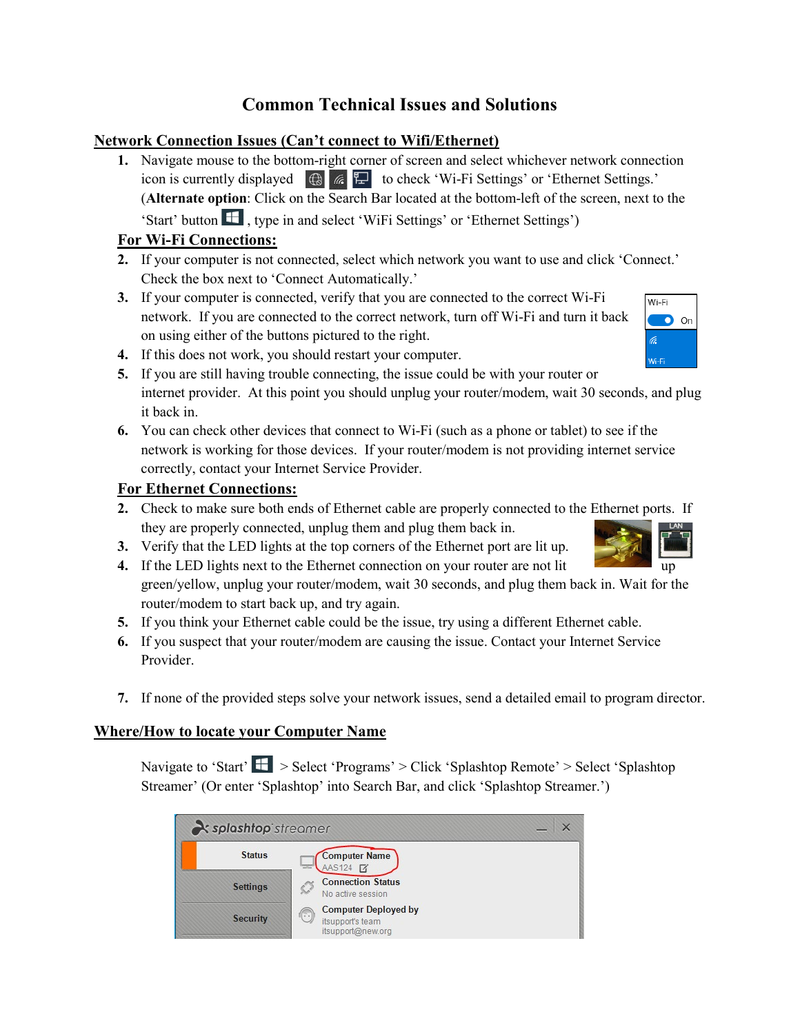# **Common Technical Issues and Solutions**

#### **Network Connection Issues (Can't connect to Wifi/Ethernet)**

**1.** Navigate mouse to the bottom-right corner of screen and select whichever network connection icon is currently displayed  $\bigoplus$   $\mathbb{E}$  to check 'Wi-Fi Settings' or 'Ethernet Settings.' (**Alternate option**: Click on the Search Bar located at the bottom-left of the screen, next to the 'Start' button  $\blacksquare$ , type in and select 'WiFi Settings' or 'Ethernet Settings')

## **For Wi-Fi Connections:**

- **2.** If your computer is not connected, select which network you want to use and click 'Connect.' Check the box next to 'Connect Automatically.'
- **3.** If your computer is connected, verify that you are connected to the correct Wi-Fi network. If you are connected to the correct network, turn off Wi-Fi and turn it back on using either of the buttons pictured to the right.
- **4.** If this does not work, you should restart your computer.
- **5.** If you are still having trouble connecting, the issue could be with your router or internet provider. At this point you should unplug your router/modem, wait 30 seconds, and plug it back in.
- **6.** You can check other devices that connect to Wi-Fi (such as a phone or tablet) to see if the network is working for those devices. If your router/modem is not providing internet service correctly, contact your Internet Service Provider.

### **For Ethernet Connections:**

- **2.** Check to make sure both ends of Ethernet cable are properly connected to the Ethernet ports. If they are properly connected, unplug them and plug them back in.
- **3.** Verify that the LED lights at the top corners of the Ethernet port are lit up.
- **4.** If the LED lights next to the Ethernet connection on your router are not lit green/yellow, unplug your router/modem, wait 30 seconds, and plug them back in. Wait for the router/modem to start back up, and try again.
- **5.** If you think your Ethernet cable could be the issue, try using a different Ethernet cable.
- **6.** If you suspect that your router/modem are causing the issue. Contact your Internet Service Provider.
- **7.** If none of the provided steps solve your network issues, send a detailed email to program director.

### **Where/How to locate your Computer Name**

Navigate to 'Start' > Select 'Programs' > Click 'Splashtop Remote' > Select 'Splashtop Streamer' (Or enter 'Splashtop' into Search Bar, and click 'Splashtop Streamer.')

| splashtop streamer |                                                                             |  |  |
|--------------------|-----------------------------------------------------------------------------|--|--|
| <b>Status</b>      | <b>Computer Name</b><br>AAS124 7                                            |  |  |
| <b>Settings</b>    | <b>Connection Status</b><br>No active session                               |  |  |
| <b>Security</b>    | <b>Computer Deployed by</b><br>(…)<br>itsupport's team<br>itsupport@new.org |  |  |